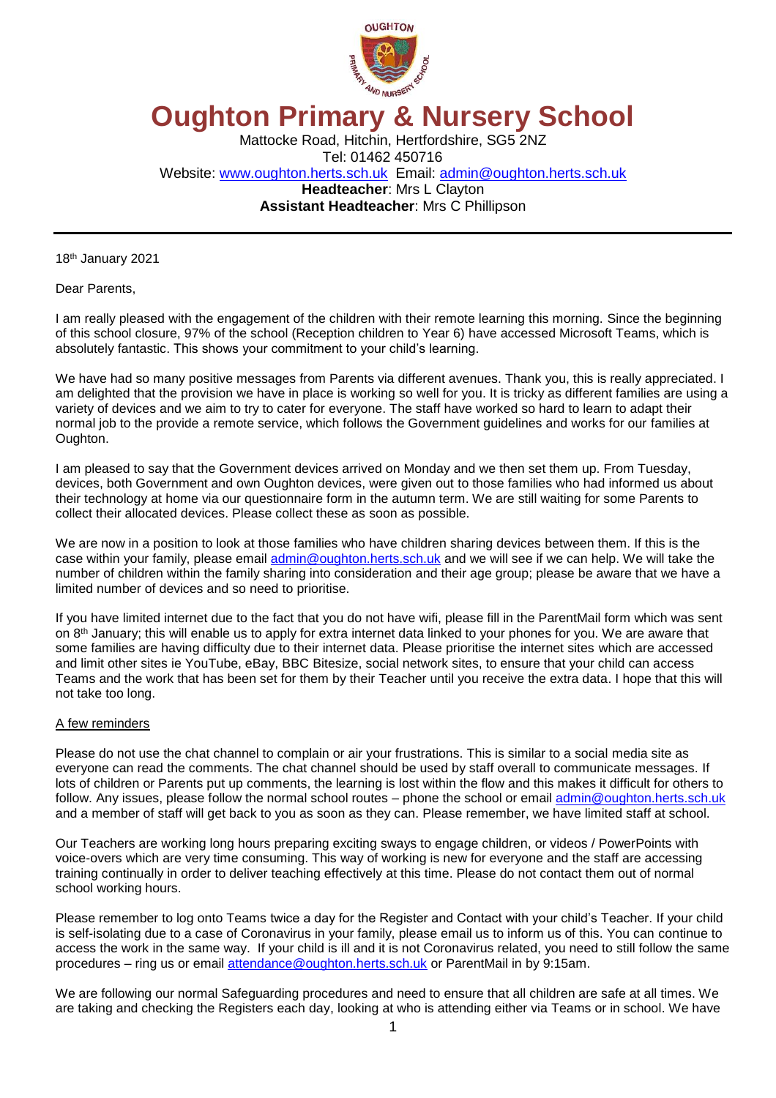

## **Oughton Primary & Nursery School**

Mattocke Road, Hitchin, Hertfordshire, SG5 2NZ Tel: 01462 450716 Website: [www.oughton.herts.sch.uk](http://www.oughton.herts.sch.uk/) Email: [admin@oughton.herts.sch.uk](mailto:admin@oughton.herts.sch.uk) **Headteacher**: Mrs L Clayton **Assistant Headteacher**: Mrs C Phillipson

18 th January 2021

Dear Parents,

I am really pleased with the engagement of the children with their remote learning this morning. Since the beginning of this school closure, 97% of the school (Reception children to Year 6) have accessed Microsoft Teams, which is absolutely fantastic. This shows your commitment to your child's learning.

We have had so many positive messages from Parents via different avenues. Thank you, this is really appreciated. I am delighted that the provision we have in place is working so well for you. It is tricky as different families are using a variety of devices and we aim to try to cater for everyone. The staff have worked so hard to learn to adapt their normal job to the provide a remote service, which follows the Government guidelines and works for our families at Oughton.

I am pleased to say that the Government devices arrived on Monday and we then set them up. From Tuesday, devices, both Government and own Oughton devices, were given out to those families who had informed us about their technology at home via our questionnaire form in the autumn term. We are still waiting for some Parents to collect their allocated devices. Please collect these as soon as possible.

We are now in a position to look at those families who have children sharing devices between them. If this is the case within your family, please email [admin@oughton.herts.sch.uk](mailto:admin@oughton.herts.sch.uk) and we will see if we can help. We will take the number of children within the family sharing into consideration and their age group; please be aware that we have a limited number of devices and so need to prioritise.

If you have limited internet due to the fact that you do not have wifi, please fill in the ParentMail form which was sent on 8th January; this will enable us to apply for extra internet data linked to your phones for you. We are aware that some families are having difficulty due to their internet data. Please prioritise the internet sites which are accessed and limit other sites ie YouTube, eBay, BBC Bitesize, social network sites, to ensure that your child can access Teams and the work that has been set for them by their Teacher until you receive the extra data. I hope that this will not take too long.

## A few reminders

Please do not use the chat channel to complain or air your frustrations. This is similar to a social media site as everyone can read the comments. The chat channel should be used by staff overall to communicate messages. If lots of children or Parents put up comments, the learning is lost within the flow and this makes it difficult for others to follow. Any issues, please follow the normal school routes – phone the school or email [admin@oughton.herts.sch.uk](mailto:admin@oughton.herts.sch.uk) and a member of staff will get back to you as soon as they can. Please remember, we have limited staff at school.

Our Teachers are working long hours preparing exciting sways to engage children, or videos / PowerPoints with voice-overs which are very time consuming. This way of working is new for everyone and the staff are accessing training continually in order to deliver teaching effectively at this time. Please do not contact them out of normal school working hours.

Please remember to log onto Teams twice a day for the Register and Contact with your child's Teacher. If your child is self-isolating due to a case of Coronavirus in your family, please email us to inform us of this. You can continue to access the work in the same way. If your child is ill and it is not Coronavirus related, you need to still follow the same procedures – ring us or email [attendance@oughton.herts.sch.uk](mailto:attendance@oughton.herts.sch.uk) or ParentMail in by 9:15am.

We are following our normal Safeguarding procedures and need to ensure that all children are safe at all times. We are taking and checking the Registers each day, looking at who is attending either via Teams or in school. We have